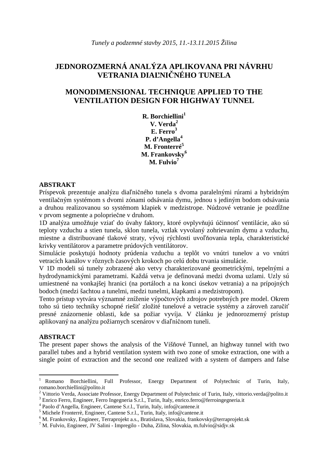# **JEDNOROZMERNÁ ANALÝZA APLIKOVANA PRI NÁVRHU VETRANIA DIA**Ľ**NI**Č**NÉHO TUNELA**

## **MONODIMENSIONAL TECHNIQUE APPLIED TO THE VENTILATION DESIGN FOR HIGHWAY TUNNEL**

**R. Borchiellini<sup>1</sup> V. Verda<sup>2</sup> E. Ferro<sup>3</sup> P. d'Angella<sup>4</sup> M. Fronterré<sup>5</sup> M. Frankovsky<sup>6</sup> M. Fulvio<sup>7</sup>**

#### **ABSTRAKT**

Príspevok prezentuje analýzu diaľničného tunela s dvoma paralelnými rúrami a hybridným ventilačným systémom s dvomi zónami odsávania dymu, jednou s jediným bodom odsávania a druhou realizovanou so systémom klapiek v medzistrope. Núdzové vetranie je pozdĺžne v prvom segmente a polopriečne v druhom.

1D analýza umožňuje vziať do úvahy faktory, ktoré ovplyvňujú účinnosť ventilácie, ako sú teploty vzduchu a stien tunela, sklon tunela, vztlak vyvolaný zohrievaním dymu a vzduchu, miestne a distribuované tlakové straty, vývoj rýchlosti uvoľňovania tepla, charakteristické krivky ventilátorov a parametre prúdových ventilátorov.

Simulácie poskytujú hodnoty prúdenia vzduchu a teplôt vo vnútri tunelov a vo vnútri vetracích kanálov v rôznych časových krokoch po celú dobu trvania simulácie.

V 1D modeli sú tunely zobrazené ako vetvy charakterizované geometrickými, tepelnými a hydrodynamickými parametrami. Každá vetva je definovaná medzi dvoma uzlami. Uzly sú umiestnené na vonkajšej hranici (na portáloch a na konci úsekov vetrania) a na prípojných bodoch (medzi šachtou a tunelmi, medzi tunelmi, klapkami a medzistropom).

Tento prístup vytvára významné zníženie výpočtových zdrojov potrebných pre model. Okrem toho sú tieto techniky schopné riešiť zložité tunelové a vetracie systémy a zároveň zaručiť presné znázornenie oblasti, kde sa požiar vyvíja. V článku je jednorozmerný prístup aplikovaný na analýzu požiarnych scenárov v diaľničnom tuneli.

#### **ABSTRACT**

The present paper shows the analysis of the Višňové Tunnel, an highway tunnel with two parallel tubes and a hybrid ventilation system with two zone of smoke extraction, one with a single point of extraction and the second one realized with a system of dampers and false

 $\,1$ <sup>1</sup> Romano Borchiellini, Full Professor, Energy Department of Polytechnic of Turin, Italy, romano.borchiellini@polito.it

<sup>&</sup>lt;sup>2</sup> Vittorio Verda, Associate Professor, Energy Department of Polytechnic of Turin, Italy, vittorio.verda@polito.it

<sup>&</sup>lt;sup>3</sup> Enrico Ferro, Engineer, Ferro Ingegneria S.r.l., Turin, Italy, enrico.ferro@ferroingegneria.it

<sup>4</sup> Paolo d'Angella, Engineer, Cantene S.r.l., Turin, Italy, info@cantene.it

<sup>5</sup> Michele Fronterrè, Engineer, Cantene S.r.l., Turin, Italy, info@cantene.it

<sup>6</sup> M. Frankovsky, Engineer, Terraprojekt a.s., Bratislava, Slovakia, frankovsky@terraprojekt.sk

<sup>7</sup> M. Fulvio, Engineer, JV Salini - Impregilo - Duha, Zilina, Slovakia, m.fulvio@sidjv.sk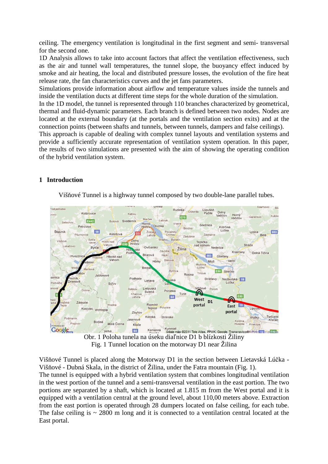ceiling. The emergency ventilation is longitudinal in the first segment and semi- transversal for the second one.

1D Analysis allows to take into account factors that affect the ventilation effectiveness, such as the air and tunnel wall temperatures, the tunnel slope, the buoyancy effect induced by smoke and air heating, the local and distributed pressure losses, the evolution of the fire heat release rate, the fan characteristics curves and the jet fans parameters.

Simulations provide information about airflow and temperature values inside the tunnels and inside the ventilation ducts at different time steps for the whole duration of the simulation.

In the 1D model, the tunnel is represented through 110 branches characterized by geometrical, thermal and fluid-dynamic parameters. Each branch is defined between two nodes. Nodes are located at the external boundary (at the portals and the ventilation section exits) and at the connection points (between shafts and tunnels, between tunnels, dampers and false ceilings).

This approach is capable of dealing with complex tunnel layouts and ventilation systems and provide a sufficiently accurate representation of ventilation system operation. In this paper, the results of two simulations are presented with the aim of showing the operating condition of the hybrid ventilation system.

## **1 Introduction**

Višňové Tunnel is a highway tunnel composed by two double-lane parallel tubes.



Fig. 1 Tunnel location on the motorway D1 near Žilina

Višňové Tunnel is placed along the Motorway D1 in the section between Lietavská Lúčka - Višňové - Dubná Skala, in the district of Žilina, under the Fatra mountain (Fig. 1). The tunnel is equipped with a hybrid ventilation system that combines longitudinal ventilation in the west portion of the tunnel and a semi-transversal ventilation in the east portion. The two portions are separated by a shaft, which is located at 1.815 m from the West portal and it is equipped with a ventilation central at the ground level, about 110,00 meters above. Extraction from the east portion is operated through 28 dumpers located on false ceiling, for each tube. The false ceiling is  $\sim$  2800 m long and it is connected to a ventilation central located at the East portal.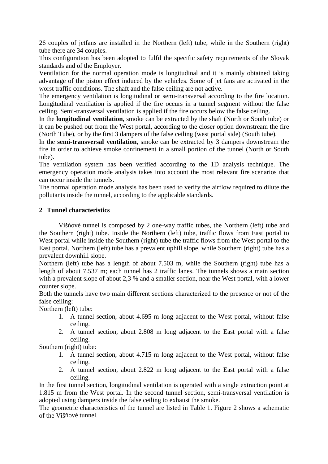26 couples of jetfans are installed in the Northern (left) tube, while in the Southern (right) tube there are 34 couples.

This configuration has been adopted to fulfil the specific safety requirements of the Slovak standards and of the Employer.

Ventilation for the normal operation mode is longitudinal and it is mainly obtained taking advantage of the piston effect induced by the vehicles. Some of jet fans are activated in the worst traffic conditions. The shaft and the false ceiling are not active.

The emergency ventilation is longitudinal or semi-transversal according to the fire location. Longitudinal ventilation is applied if the fire occurs in a tunnel segment without the false ceiling. Semi-transversal ventilation is applied if the fire occurs below the false ceiling.

In the **longitudinal ventilation**, smoke can be extracted by the shaft (North or South tube) or it can be pushed out from the West portal, according to the closer option downstream the fire (North Tube), or by the first 3 dampers of the false ceiling (west portal side) (South tube).

In the **semi-transversal ventilation**, smoke can be extracted by 3 dampers downstream the fire in order to achieve smoke confinement in a small portion of the tunnel (North or South tube).

The ventilation system has been verified according to the 1D analysis technique. The emergency operation mode analysis takes into account the most relevant fire scenarios that can occur inside the tunnels.

The normal operation mode analysis has been used to verify the airflow required to dilute the pollutants inside the tunnel, according to the applicable standards.

## **2 Tunnel characteristics**

Višňové tunnel is composed by 2 one-way traffic tubes, the Northern (left) tube and the Southern (right) tube. Inside the Northern (left) tube, traffic flows from East portal to West portal while inside the Southern (right) tube the traffic flows from the West portal to the East portal. Northern (left) tube has a prevalent uphill slope, while Southern (right) tube has a prevalent downhill slope.

Northern (left) tube has a length of about 7.503 m, while the Southern (right) tube has a length of about 7.537 m; each tunnel has 2 traffic lanes. The tunnels shows a main section with a prevalent slope of about 2,3 % and a smaller section, near the West portal, with a lower counter slope.

Both the tunnels have two main different sections characterized to the presence or not of the false ceiling:

Northern (left) tube:

- 1. A tunnel section, about 4.695 m long adjacent to the West portal, without false ceiling.
- 2. A tunnel section, about 2.808 m long adjacent to the East portal with a false ceiling.

Southern (right) tube:

- 1. A tunnel section, about 4.715 m long adjacent to the West portal, without false ceiling.
- 2. A tunnel section, about 2.822 m long adjacent to the East portal with a false ceiling.

In the first tunnel section, longitudinal ventilation is operated with a single extraction point at 1.815 m from the West portal. In the second tunnel section, semi-transversal ventilation is adopted using dampers inside the false ceiling to exhaust the smoke.

The geometric characteristics of the tunnel are listed in Table 1. Figure 2 shows a schematic of the Višňové tunnel.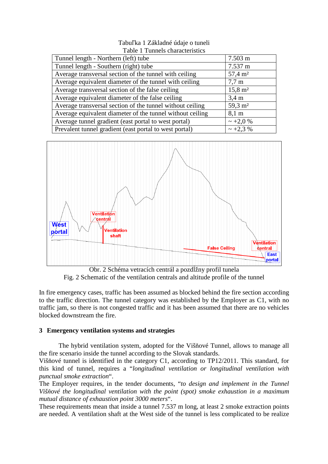#### Tabuľka 1 Základné údaje o tuneli Table 1 Tunnels characteristics

| Tunnel length - Northern (left) tube                      | $7.503 \text{ m}$      |
|-----------------------------------------------------------|------------------------|
| Tunnel length - Southern (right) tube                     | 7.537 m                |
| Average transversal section of the tunnel with ceiling    | $57,4 \; \mathrm{m}^2$ |
| Average equivalent diameter of the tunnel with ceiling    | $7.7 \text{ m}$        |
| Average transversal section of the false ceiling          | $15,8 \; \mathrm{m}^2$ |
| Average equivalent diameter of the false ceiling          | $3.4 \text{ m}$        |
| Average transversal section of the tunnel without ceiling | $59.3 \text{ m}^2$     |
| Average equivalent diameter of the tunnel without ceiling | $8,1 \text{ m}$        |
| Average tunnel gradient (east portal to west portal)      | $\sim +2.0 %$          |
| Prevalent tunnel gradient (east portal to west portal)    | $\sim +2.3\%$          |



Obr. 2 Schéma vetracích centrál a pozdĺžny profil tunela Fig. 2 Schematic of the ventilation centrals and altitude profile of the tunnel

In fire emergency cases, traffic has been assumed as blocked behind the fire section according to the traffic direction. The tunnel category was established by the Employer as C1, with no traffic jam, so there is not congested traffic and it has been assumed that there are no vehicles blocked downstream the fire.

## **3 Emergency ventilation systems and strategies**

The hybrid ventilation system, adopted for the Višňové Tunnel, allows to manage all the fire scenario inside the tunnel according to the Slovak standards.

Višňové tunnel is identified in the category C1, according to TP12/2011. This standard, for this kind of tunnel, requires a "*longitudinal ventilation or longitudinal ventilation with punctual smoke extraction*".

The Employer requires, in the tender documents, "*to design and implement in the Tunnel Viš*ň*ové the longitudinal ventilation with the point (spot) smoke exhaustion in a maximum mutual distance of exhaustion point 3000 meters*".

These requirements mean that inside a tunnel 7.537 m long, at least 2 smoke extraction points are needed. A ventilation shaft at the West side of the tunnel is less complicated to be realize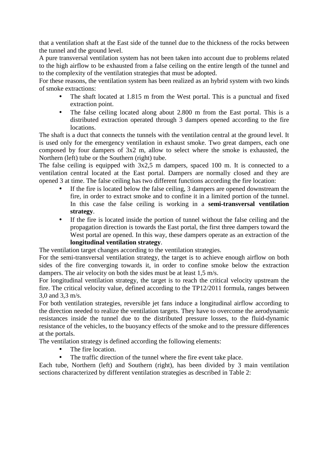that a ventilation shaft at the East side of the tunnel due to the thickness of the rocks between the tunnel and the ground level.

A pure transversal ventilation system has not been taken into account due to problems related to the high airflow to be exhausted from a false ceiling on the entire length of the tunnel and to the complexity of the ventilation strategies that must be adopted.

For these reasons, the ventilation system has been realized as an hybrid system with two kinds of smoke extractions:

- The shaft located at 1.815 m from the West portal. This is a punctual and fixed extraction point.
- The false ceiling located along about 2.800 m from the East portal. This is a distributed extraction operated through 3 dampers opened according to the fire locations.

The shaft is a duct that connects the tunnels with the ventilation central at the ground level. It is used only for the emergency ventilation in exhaust smoke. Two great dampers, each one composed by four dampers of 3x2 m, allow to select where the smoke is exhausted, the Northern (left) tube or the Southern (right) tube.

The false ceiling is equipped with 3x2,5 m dampers, spaced 100 m. It is connected to a ventilation central located at the East portal. Dampers are normally closed and they are opened 3 at time. The false ceiling has two different functions according the fire location:

- If the fire is located below the false ceiling, 3 dampers are opened downstream the fire, in order to extract smoke and to confine it in a limited portion of the tunnel. In this case the false ceiling is working in a **semi-transversal ventilation strategy**.
- If the fire is located inside the portion of tunnel without the false ceiling and the propagation direction is towards the East portal, the first three dampers toward the West portal are opened. In this way, these dampers operate as an extraction of the **longitudinal ventilation strategy**.

The ventilation target changes according to the ventilation strategies.

For the semi-transversal ventilation strategy, the target is to achieve enough airflow on both sides of the fire converging towards it, in order to confine smoke below the extraction dampers. The air velocity on both the sides must be at least 1,5 m/s.

For longitudinal ventilation strategy, the target is to reach the critical velocity upstream the fire. The critical velocity value, defined according to the TP12/2011 formula, ranges between 3,0 and 3,3 m/s.

For both ventilation strategies, reversible jet fans induce a longitudinal airflow according to the direction needed to realize the ventilation targets. They have to overcome the aerodynamic resistances inside the tunnel due to the distributed pressure losses, to the fluid-dynamic resistance of the vehicles, to the buoyancy effects of the smoke and to the pressure differences at the portals.

The ventilation strategy is defined according the following elements:

- The fire location.
- The traffic direction of the tunnel where the fire event take place.

Each tube, Northern (left) and Southern (right), has been divided by 3 main ventilation sections characterized by different ventilation strategies as described in Table 2: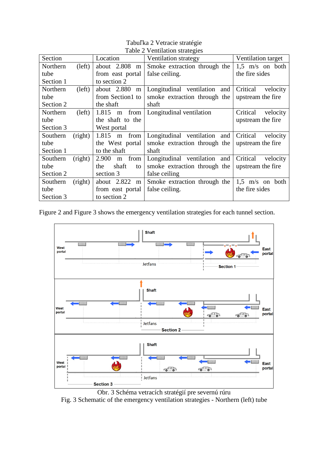| Section   |         | Location           | $\frac{1}{2}$ . Change on strategies<br>Ventilation strategy | Ventilation target   |
|-----------|---------|--------------------|--------------------------------------------------------------|----------------------|
| Northern  | (left)  | about $2.808$<br>m | Smoke extraction through the                                 | $1,5$ m/s on both    |
| tube      |         | from east portal   | false ceiling.                                               | the fire sides       |
| Section 1 |         | to section 2       |                                                              |                      |
| Northern  | (left)  | about $2.880$<br>m | Longitudinal ventilation and                                 | Critical velocity    |
| tube      |         | from Section1 to   | smoke extraction through the                                 | upstream the fire    |
| Section 2 |         | the shaft          | shaft                                                        |                      |
| Northern  | (left)  | $1.815$ m<br>from  | Longitudinal ventilation                                     | Critical<br>velocity |
| tube      |         | the shaft to the   |                                                              | upstream the fire    |
| Section 3 |         | West portal        |                                                              |                      |
| Southern  | (right) | $1.815$ m<br>from  | Longitudinal ventilation and                                 | Critical<br>velocity |
| tube      |         | the West portal    | smoke extraction through the                                 | upstream the fire    |
| Section 1 |         | to the shaft       | shaft                                                        |                      |
| Southern  | (right) | 2.900<br>m from    | Longitudinal ventilation and                                 | Critical velocity    |
| tube      |         | shaft<br>the<br>to | smoke extraction through the                                 | upstream the fire    |
| Section 2 |         | section 3          | false ceiling                                                |                      |
| Southern  | (right) | about $2.822$<br>m | Smoke extraction through the                                 | $1,5$ m/s on both    |
| tube      |         | from east portal   | false ceiling.                                               | the fire sides       |
| Section 3 |         | to section 2       |                                                              |                      |

Tabuľka 2 Vetracie stratégie Table 2 Ventilation strategies

Figure 2 and Figure 3 shows the emergency ventilation strategies for each tunnel section.



Obr. 3 Schéma vetracích stratégií pre severnú rúru Fig. 3 Schematic of the emergency ventilation strategies - Northern (left) tube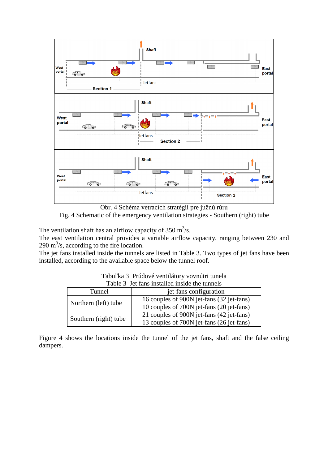

Obr. 4 Schéma vetracích stratégií pre južnú rúru Fig. 4 Schematic of the emergency ventilation strategies - Southern (right) tube

The ventilation shaft has an airflow capacity of  $350 \text{ m}^3/\text{s}$ .

The east ventilation central provides a variable airflow capacity, ranging between 230 and  $290 \text{ m}^3\text{/s}$ , according to the fire location.

The jet fans installed inside the tunnels are listed in Table 3. Two types of jet fans have been installed, according to the available space below the tunnel roof.

|  | Tabuľka 3 Prúdové ventilátory vovnútri tunela |  |
|--|-----------------------------------------------|--|
|  |                                               |  |

| Table 3 Jet fans installed inside the tunnels |                                                                                        |  |
|-----------------------------------------------|----------------------------------------------------------------------------------------|--|
| Tunnel                                        | jet-fans configuration                                                                 |  |
| Northern (left) tube                          | 16 couples of 900N jet-fans (32 jet-fans)<br>10 couples of 700N jet-fans (20 jet-fans) |  |
| Southern (right) tube                         | 21 couples of 900N jet-fans (42 jet-fans)<br>13 couples of 700N jet-fans (26 jet-fans) |  |

Figure 4 shows the locations inside the tunnel of the jet fans, shaft and the false ceiling dampers.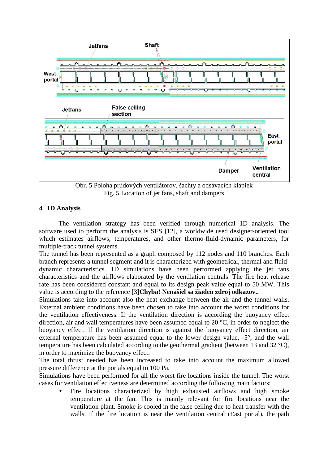

Obr. 5 Poloha prúdových ventilátorov, šachty a odsávacích klapiek Fig. 5 Location of jet fans, shaft and dampers

## **4 1D Analysis**

The ventilation strategy has been verified through numerical 1D analysis. The software used to perform the analysis is SES [12], a worldwide used designer-oriented tool which estimates airflows, temperatures, and other thermo-fluid-dynamic parameters, for multiple-track tunnel systems.

The tunnel has been represented as a graph composed by 112 nodes and 110 branches. Each branch represents a tunnel segment and it is characterized with geometrical, thermal and fluiddynamic characteristics. 1D simulations have been performed applying the jet fans characteristics and the airflows elaborated by the ventilation centrals. The fire heat release rate has been considered constant and equal to its design peak value equal to 50 MW. This value is according to the reference [3]**Chyba! Nenašiel sa žiaden zdroj odkazov.**.

Simulations take into account also the heat exchange between the air and the tunnel walls. External ambient conditions have been chosen to take into account the worst conditions for the ventilation effectiveness. If the ventilation direction is according the buoyancy effect direction, air and wall temperatures have been assumed equal to 20 °C, in order to neglect the buoyancy effect. If the ventilation direction is against the buoyancy effect direction, air external temperature has been assumed equal to the lower design value, -5°, and the wall temperature has been calculated according to the geothermal gradient (between 13 and 32 °C), in order to maximize the buoyancy effect.

The total thrust needed has been increased to take into account the maximum allowed pressure difference at the portals equal to 100 Pa.

Simulations have been performed for all the worst fire locations inside the tunnel. The worst cases for ventilation effectiveness are determined according the following main factors:

Fire locations characterized by high exhausted airflows and high smoke temperature at the fan. This is mainly relevant for fire locations near the ventilation plant. Smoke is cooled in the false ceiling due to heat transfer with the walls. If the fire location is near the ventilation central (East portal), the path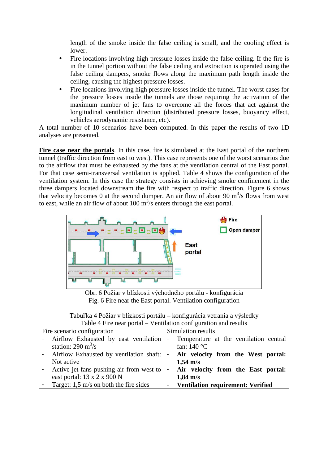length of the smoke inside the false ceiling is small, and the cooling effect is lower.

- Fire locations involving high pressure losses inside the false ceiling. If the fire is in the tunnel portion without the false ceiling and extraction is operated using the false ceiling dampers, smoke flows along the maximum path length inside the ceiling, causing the highest pressure losses.
- Fire locations involving high pressure losses inside the tunnel. The worst cases for the pressure losses inside the tunnels are those requiring the activation of the maximum number of jet fans to overcome all the forces that act against the longitudinal ventilation direction (distributed pressure losses, buoyancy effect, vehicles aerodynamic resistance, etc).

A total number of 10 scenarios have been computed. In this paper the results of two 1D analyses are presented.

Fire case near the portals. In this case, fire is simulated at the East portal of the northern tunnel (traffic direction from east to west). This case represents one of the worst scenarios due to the airflow that must be exhausted by the fans at the ventilation central of the East portal. For that case semi-transversal ventilation is applied. Table 4 shows the configuration of the ventilation system. In this case the strategy consists in achieving smoke confinement in the three dampers located downstream the fire with respect to traffic direction. Figure 6 shows that velocity becomes 0 at the second dumper. An air flow of about 90  $\text{m}^3$ /s flows from west to east, while an air flow of about 100  $\text{m}^3/\text{s}$  enters through the east portal.



Obr. 6 Požiar v blízkosti východného portálu - konfigurácia Fig. 6 Fire near the East portal. Ventilation configuration

| Tabuľka 4 Požiar v blízkosti portálu – konfigurácia vetrania a výsledky |
|-------------------------------------------------------------------------|
| Table 4 Fire near portal – Ventilation configuration and results        |

|            | Fire scenario configuration              |                | Simulation results                       |
|------------|------------------------------------------|----------------|------------------------------------------|
|            | Airflow Exhausted by east ventilation    | $\blacksquare$ | Temperature at the ventilation central   |
|            | station: $290 \text{ m}^3/\text{s}$      |                | fan: $140^{\circ}$ C                     |
|            | Airflow Exhausted by ventilation shaft:  |                | Air velocity from the West portal:       |
| Not active |                                          |                | $1,54 \text{ m/s}$                       |
|            | Active jet-fans pushing air from west to | $\blacksquare$ | Air velocity from the East portal:       |
|            | east portal: $13 \times 2 \times 900$ N  |                | $1,84 \text{ m/s}$                       |
|            | Target: $1,5$ m/s on both the fire sides | ٠              | <b>Ventilation requirement: Verified</b> |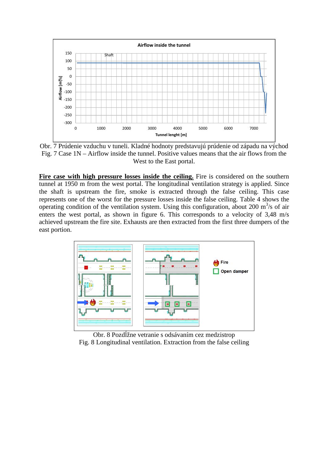

Obr. 7 Prúdenie vzduchu v tuneli. Kladné hodnoty predstavujú prúdenie od západu na východ Fig. 7 Case 1N – Airflow inside the tunnel. Positive values means that the air flows from the West to the East portal.

**Fire case with high pressure losses inside the ceiling.** Fire is considered on the southern tunnel at 1950 m from the west portal. The longitudinal ventilation strategy is applied. Since the shaft is upstream the fire, smoke is extracted through the false ceiling. This case represents one of the worst for the pressure losses inside the false ceiling. Table 4 shows the operating condition of the ventilation system. Using this configuration, about 200  $\text{m}^3$ /s of air enters the west portal, as shown in figure 6. This corresponds to a velocity of 3.48 m/s achieved upstream the fire site. Exhausts are then extracted from the first three dumpers of the east portion.



Obr. 8 Pozdĺžne vetranie s odsávaním cez medzistrop Fig. 8 Longitudinal ventilation. Extraction from the false ceiling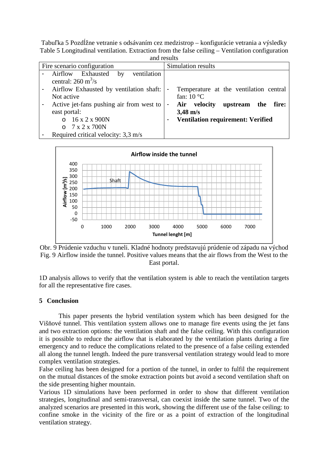Tabuľka 5 Pozdĺžne vetranie s odsávaním cez medzistrop – konfigurácie vetrania a výsledky Table 5 Longitudinal ventilation. Extraction from the false ceiling – Ventilation configuration and results

| and results                                                                                                              |                                                                                                                                             |  |
|--------------------------------------------------------------------------------------------------------------------------|---------------------------------------------------------------------------------------------------------------------------------------------|--|
| Fire scenario configuration                                                                                              | Simulation results                                                                                                                          |  |
| Airflow Exhausted<br>by<br>ventilation<br>central: $260 \text{ m}^3/\text{s}$                                            |                                                                                                                                             |  |
| Airflow Exhausted by ventilation shaft:<br>Not active                                                                    | Temperature at the ventilation central<br>$\blacksquare$<br>fan: $10^{\circ}$ C                                                             |  |
| Active jet-fans pushing air from west to<br>east portal:<br>$0.16 \times 2 \times 900N$<br>$0 \t 7 \times 2 \times 700N$ | Air velocity<br>upstream the<br>fire:<br>$\blacksquare$<br>$3,48 \text{ m/s}$<br><b>Ventilation requirement: Verified</b><br>$\blacksquare$ |  |
| Required critical velocity: 3,3 m/s                                                                                      |                                                                                                                                             |  |



Obr. 9 Prúdenie vzduchu v tuneli. Kladné hodnoty predstavujú prúdenie od západu na východ Fig. 9 Airflow inside the tunnel. Positive values means that the air flows from the West to the East portal.

1D analysis allows to verify that the ventilation system is able to reach the ventilation targets for all the representative fire cases.

#### **5 Conclusion**

This paper presents the hybrid ventilation system which has been designed for the Višňové tunnel. This ventilation system allows one to manage fire events using the jet fans and two extraction options: the ventilation shaft and the false ceiling. With this configuration it is possible to reduce the airflow that is elaborated by the ventilation plants during a fire emergency and to reduce the complications related to the presence of a false ceiling extended all along the tunnel length. Indeed the pure transversal ventilation strategy would lead to more complex ventilation strategies.

False ceiling has been designed for a portion of the tunnel, in order to fulfil the requirement on the mutual distances of the smoke extraction points but avoid a second ventilation shaft on the side presenting higher mountain.

Various 1D simulations have been performed in order to show that different ventilation strategies, longitudinal and semi-transversal, can coexist inside the same tunnel. Two of the analyzed scenarios are presented in this work, showing the different use of the false ceiling: to confine smoke in the vicinity of the fire or as a point of extraction of the longitudinal ventilation strategy.